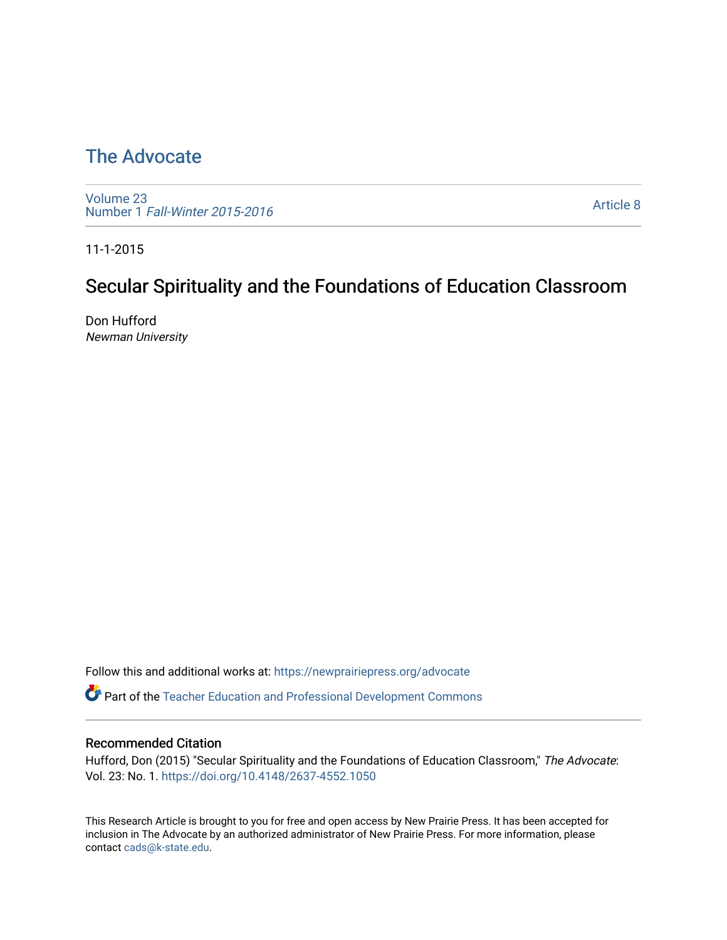# [The Advocate](https://newprairiepress.org/advocate)

[Volume 23](https://newprairiepress.org/advocate/vol23) Number 1 [Fall-Winter 2015-2016](https://newprairiepress.org/advocate/vol23/iss1) 

[Article 8](https://newprairiepress.org/advocate/vol23/iss1/8) 

11-1-2015

# Secular Spirituality and the Foundations of Education Classroom

Don Hufford Newman University

Follow this and additional works at: [https://newprairiepress.org/advocate](https://newprairiepress.org/advocate?utm_source=newprairiepress.org%2Fadvocate%2Fvol23%2Fiss1%2F8&utm_medium=PDF&utm_campaign=PDFCoverPages) 

Part of the [Teacher Education and Professional Development Commons](http://network.bepress.com/hgg/discipline/803?utm_source=newprairiepress.org%2Fadvocate%2Fvol23%2Fiss1%2F8&utm_medium=PDF&utm_campaign=PDFCoverPages) 

#### Recommended Citation

Hufford, Don (2015) "Secular Spirituality and the Foundations of Education Classroom," The Advocate: Vol. 23: No. 1.<https://doi.org/10.4148/2637-4552.1050>

This Research Article is brought to you for free and open access by New Prairie Press. It has been accepted for inclusion in The Advocate by an authorized administrator of New Prairie Press. For more information, please contact [cads@k-state.edu](mailto:cads@k-state.edu).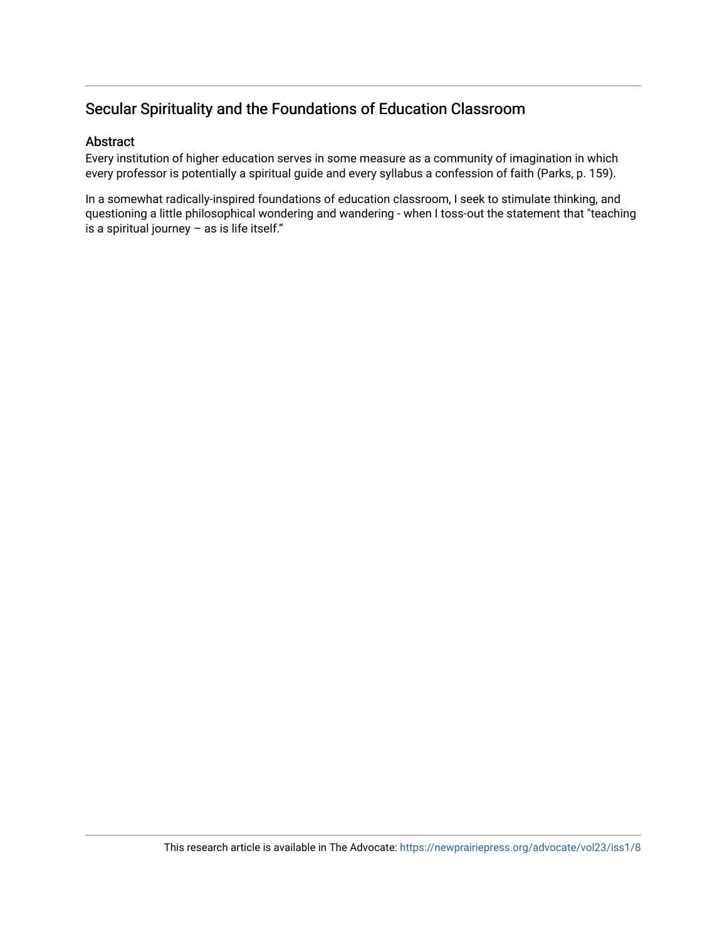#### Secular Spirituality and the Foundations of Education Classroom

#### Abstract

Every institution of higher education serves in some measure as a community of imagination in which every professor is potentially a spiritual guide and every syllabus a confession of faith (Parks, p. 159).

In a somewhat radically-inspired foundations of education classroom, I seek to stimulate thinking, and questioning a little philosophical wondering and wandering - when I toss-out the statement that "teaching is a spiritual journey  $-$  as is life itself."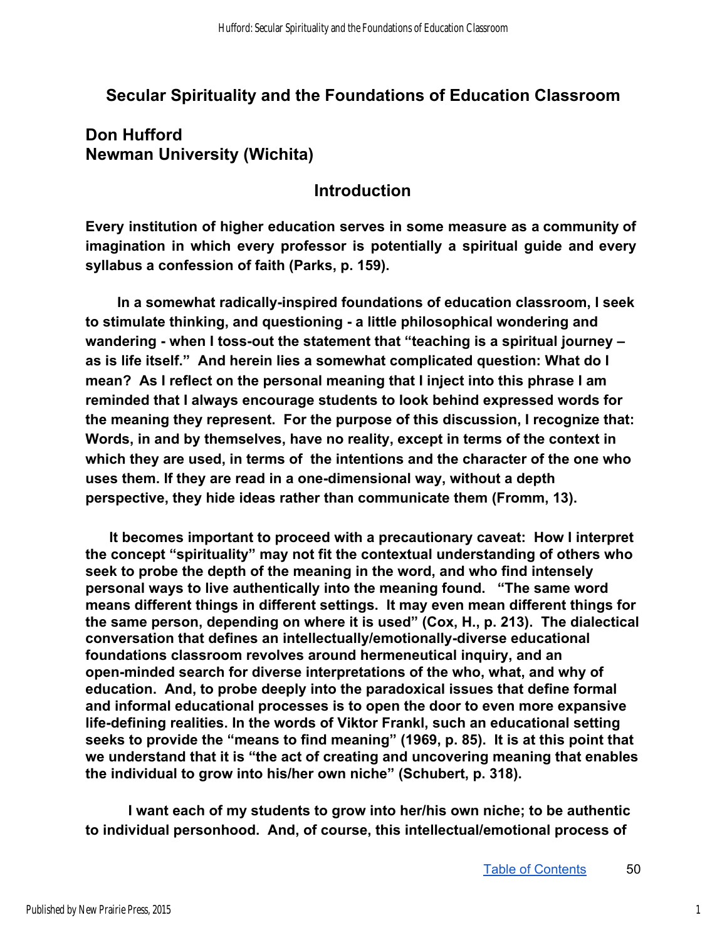### **Secular Spirituality and the Foundations of Education Classroom**

### **Don Hufford Newman University (Wichita)**

#### **Introduction**

**Every institution of higher education serves in some measure as a community of imagination in which every professor is potentially a spiritual guide and every syllabus a confession of faith (Parks, p. 159).** 

In a somewhat radically-inspired foundations of education classroom, I seek to stimulate thinking, and questioning - a little philosophical wondering and **wandering - when I toss-out the statement that "teaching is a spiritual journey – as is life itself." And herein lies a somewhat complicated question: What do I mean? As I reflect on the personal meaning that I inject into this phrase I am reminded that I always encourage students to look behind expressed words for the meaning they represent. For the purpose of this discussion, I recognize that: Words, in and by themselves, have no reality, except in terms of the context in which they are used, in terms of the intentions and the character of the one who**  uses them. If they are read in a one-dimensional way, without a depth **perspective, they hide ideas rather than communicate them (Fromm, 13).** 

 **It becomes important to proceed with a precautionary caveat: How I interpret the concept "spirituality" may not fit the contextual understanding of others who seek to probe the depth of the meaning in the word, and who find intensely personal ways to live authentically into the meaning found. "The same word means different things in different settings. It may even mean different things for the same person, depending on where it is used" (Cox, H., p. 213). The dialectical**  conversation that defines an intellectually/emotionally-diverse educational **foundations classroom revolves around hermeneutical inquiry, and an open-minded search for diverse interpretations of the who, what, and why of education. And, to probe deeply into the paradoxical issues that define formal and informal educational processes is to open the door to even more expansive**  life-defining realities. In the words of Viktor Frankl, such an educational setting **seeks to provide the "means to find meaning" (1969, p. 85). It is at this point that we understand that it is "the act of creating and uncovering meaning that enables the individual to grow into his/her own niche" (Schubert, p. 318).** 

**I want each of my students to grow into her/his own niche; to be authentic to individual personhood. And, of course, this intellectual/emotional process of**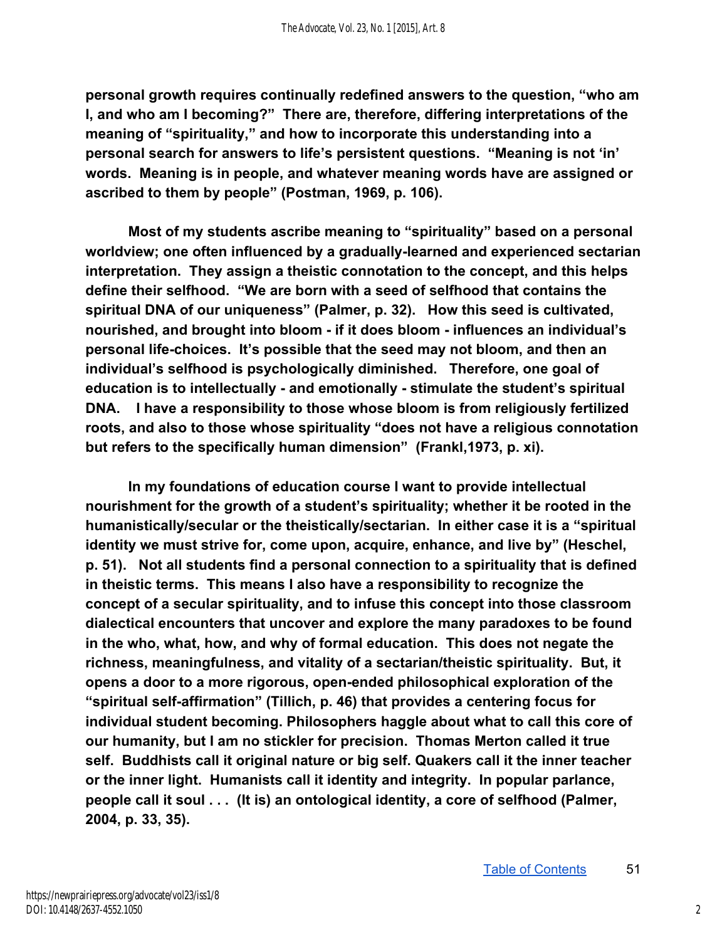**personal growth requires continually redefined answers to the question, "who am I, and who am I becoming?" There are, therefore, differing interpretations of the meaning of "spirituality," and how to incorporate this understanding into a personal search for answers to life's persistent questions. "Meaning is not 'in' words. Meaning is in people, and whatever meaning words have are assigned or**  ascribed to them by people" (Postman, 1969, p. 106).

**Most of my students ascribe meaning to "spirituality" based on a personal**  worldview; one often influenced by a gradually-learned and experienced sectarian **interpretation. They assign a theistic connotation to the concept, and this helps define their selfhood. "We are born with a seed of selfhood that contains the spiritual DNA of our uniqueness" (Palmer, p. 32). How this seed is cultivated, nourished, and brought into bloom if it does bloom influences an individual's personal lifechoices. It's possible that the seed may not bloom, and then an individual's selfhood is psychologically diminished. Therefore, one goal of education is to intellectually - and emotionally - stimulate the student's spiritual DNA. I have a responsibility to those whose bloom is from religiously fertilized roots, and also to those whose spirituality "does not have a religious connotation but refers to the specifically human dimension" (Frankl,1973, p. xi).** 

**In my foundations of education course I want to provide intellectual nourishment for the growth of a student's spirituality; whether it be rooted in the humanistically/secular or the theistically/sectarian. In either case it is a "spiritual identity we must strive for, come upon, acquire, enhance, and live by" (Heschel, p. 51). Not all students find a personal connection to a spirituality that is defined in theistic terms. This means I also have a responsibility to recognize the concept of a secular spirituality, and to infuse this concept into those classroom dialectical encounters that uncover and explore the many paradoxes to be found in the who, what, how, and why of formal education. This does not negate the richness, meaningfulness, and vitality of a sectarian/theistic spirituality. But, it opens a door to a more rigorous, openended philosophical exploration of the**  "spiritual self-affirmation" (Tillich, p. 46) that provides a centering focus for **individual student becoming. Philosophers haggle about what to call this core of our humanity, but I am no stickler for precision. Thomas Merton called it true self. Buddhists call it original nature or big self. Quakers call it the inner teacher or the inner light. Humanists call it identity and integrity. In popular parlance, people call it soul . . . (It is) an ontological identity, a core of selfhood (Palmer, 2004, p. 33, 35).**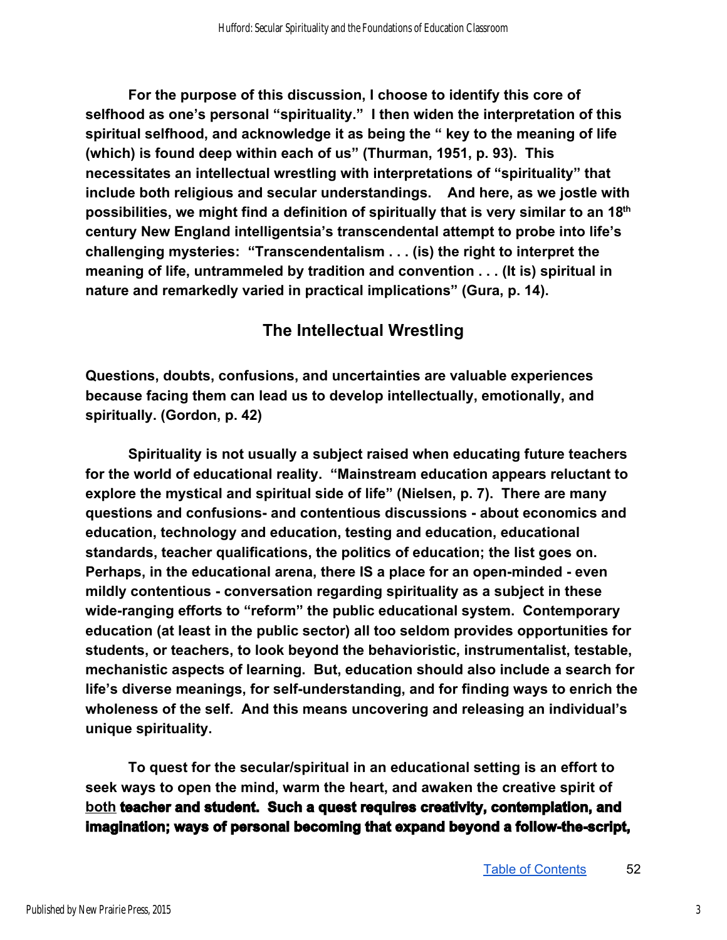**For the purpose of this discussion, I choose to identify this core of selfhood as one's personal "spirituality." I then widen the interpretation of this spiritual selfhood, and acknowledge it as being the " key to the meaning of life (which) is found deep within each of us" (Thurman, 1951, p. 93). This necessitates an intellectual wrestling with interpretations of "spirituality" that include both religious and secular understandings. And here, as we jostle with possibilities, we might find a definition of spiritually that is very similar to an 18th century New England intelligentsia's transcendental attempt to probe into life's challenging mysteries: "Transcendentalism . . . (is) the right to interpret the meaning of life, untrammeled by tradition and convention . . . (It is) spiritual in nature and remarkedly varied in practical implications" (Gura, p. 14).** 

## **The Intellectual Wrestling**

**Questions, doubts, confusions, and uncertainties are valuable experiences because facing them can lead us to develop intellectually, emotionally, and spiritually. (Gordon, p. 42)** 

**Spirituality is not usually a subject raised when educating future teachers for the world of educational reality. "Mainstream education appears reluctant to explore the mystical and spiritual side of life" (Nielsen, p. 7). There are many questions and confusions and contentious discussions about economics and education, technology and education, testing and education, educational standards, teacher qualifications, the politics of education; the list goes on. Perhaps, in the educational arena, there IS a place for an open-minded - even mildly contentious conversation regarding spirituality as a subject in these**  wide-ranging efforts to "reform" the public educational system. Contemporary **education (at least in the public sector) all too seldom provides opportunities for students, or teachers, to look beyond the behavioristic, instrumentalist, testable, mechanistic aspects of learning. But, education should also include a search for**  life's diverse meanings, for self-understanding, and for finding ways to enrich the **wholeness of the self. And this means uncovering and releasing an individual's unique spirituality.** 

**To quest for the secular/spiritual in an educational setting is an effort to seek ways to open the mind, warm the heart, and awaken the creative spirit of both teacher and student. Such a quest requires creativity, contemplation, and imagination; ways of personal becoming that expand beyond a follow-the-script,**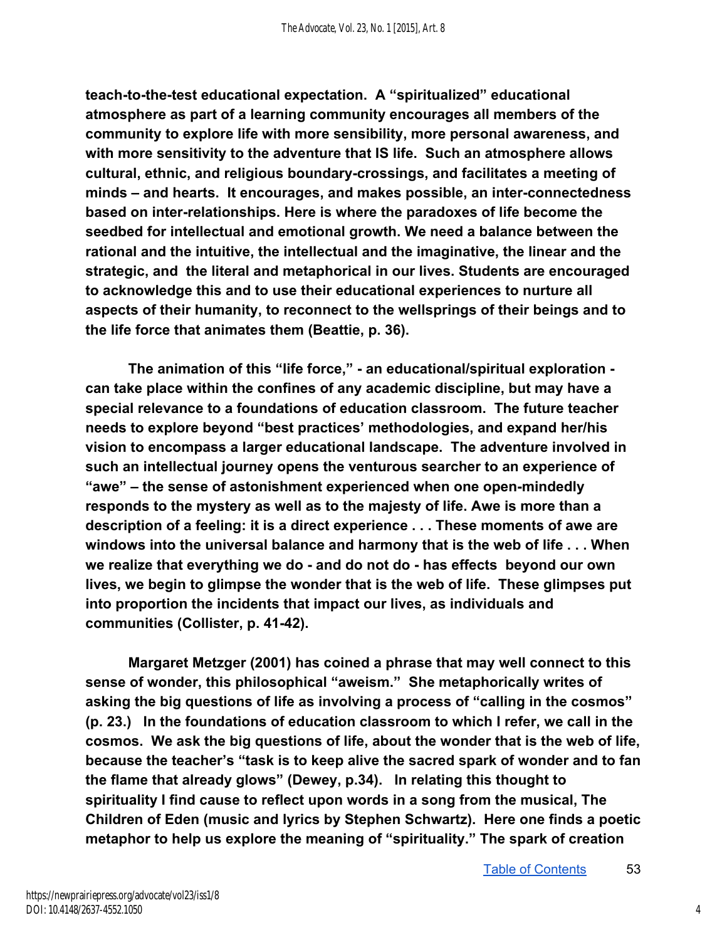teach-to-the-test educational expectation. A "spiritualized" educational **atmosphere as part of a learning community encourages all members of the community to explore life with more sensibility, more personal awareness, and with more sensitivity to the adventure that IS life. Such an atmosphere allows cultural, ethnic, and religious boundarycrossings, and facilitates a meeting of minds – and hearts. It encourages, and makes possible, an interconnectedness based on interrelationships. Here is where the paradoxes of life become the seedbed for intellectual and emotional growth. We need a balance between the rational and the intuitive, the intellectual and the imaginative, the linear and the strategic, and the literal and metaphorical in our lives. Students are encouraged to acknowledge this and to use their educational experiences to nurture all aspects of their humanity, to reconnect to the wellsprings of their beings and to the life force that animates them (Beattie, p. 36).** 

The animation of this "life force," - an educational/spiritual exploration **can take place within the confines of any academic discipline, but may have a special relevance to a foundations of education classroom. The future teacher needs to explore beyond "best practices' methodologies, and expand her/his vision to encompass a larger educational landscape. The adventure involved in such an intellectual journey opens the venturous searcher to an experience of**  "awe" – the sense of astonishment experienced when one open-mindedly **responds to the mystery as well as to the majesty of life. Awe is more than a description of a feeling: it is a direct experience . . . These moments of awe are windows into the universal balance and harmony that is the web of life . . . When we realize that everything we do and do not do has effects beyond our own lives, we begin to glimpse the wonder that is the web of life. These glimpses put into proportion the incidents that impact our lives, as individuals and**  communities (Collister, p. 41-42).

**Margaret Metzger (2001) has coined a phrase that may well connect to this sense of wonder, this philosophical "aweism." She metaphorically writes of asking the big questions of life as involving a process of "calling in the cosmos" (p. 23.) In the foundations of education classroom to which I refer, we call in the cosmos. We ask the big questions of life, about the wonder that is the web of life, because the teacher's "task is to keep alive the sacred spark of wonder and to fan the flame that already glows" (Dewey, p.34). In relating this thought to spirituality I find cause to reflect upon words in a song from the musical, The Children of Eden (music and lyrics by Stephen Schwartz). Here one finds a poetic metaphor to help us explore the meaning of "spirituality." The spark of creation**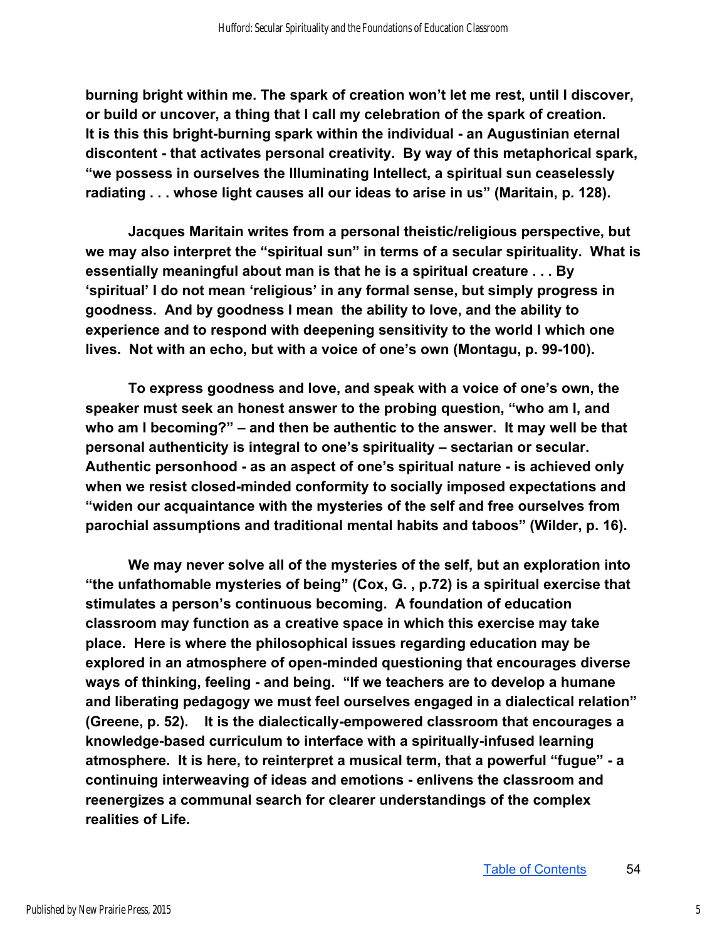**burning bright within me. The spark of creation won't let me rest, until I discover, or build or uncover, a thing that I call my celebration of the spark of creation.**  It is this this bright-burning spark within the individual - an Augustinian eternal **discontent that activates personal creativity. By way of this metaphorical spark, "we possess in ourselves the Illuminating Intellect, a spiritual sun ceaselessly radiating . . . whose light causes all our ideas to arise in us" (Maritain, p. 128).** 

**Jacques Maritain writes from a personal theistic/religious perspective, but we may also interpret the "spiritual sun" in terms of a secular spirituality. What is essentially meaningful about man is that he is a spiritual creature . . . By 'spiritual' I do not mean 'religious' in any formal sense, but simply progress in goodness. And by goodness I mean the ability to love, and the ability to experience and to respond with deepening sensitivity to the world I which one**  lives. Not with an echo, but with a voice of one's own (Montagu, p. 99-100).

**To express goodness and love, and speak with a voice of one's own, the speaker must seek an honest answer to the probing question, "who am I, and who am I becoming?" – and then be authentic to the answer. It may well be that personal authenticity is integral to one's spirituality – sectarian or secular.**  Authentic personhood - as an aspect of one's spiritual nature - is achieved only when we resist closed-minded conformity to socially imposed expectations and **"widen our acquaintance with the mysteries of the self and free ourselves from parochial assumptions and traditional mental habits and taboos" (Wilder, p. 16).** 

**We may never solve all of the mysteries of the self, but an exploration into "the unfathomable mysteries of being" (Cox, G. , p.72) is a spiritual exercise that stimulates a person's continuous becoming. A foundation of education classroom may function as a creative space in which this exercise may take place. Here is where the philosophical issues regarding education may be explored in an atmosphere of openminded questioning that encourages diverse**  ways of thinking, feeling - and being. "If we teachers are to develop a humane **and liberating pedagogy we must feel ourselves engaged in a dialectical relation" (Greene, p. 52).** It is the dialectically-empowered classroom that encourages a knowledge-based curriculum to interface with a spiritually-infused learning **atmosphere. It is here, to reinterpret a musical term, that a powerful "fugue" a continuing interweaving of ideas and emotions enlivens the classroom and reenergizes a communal search for clearer understandings of the complex realities of Life.**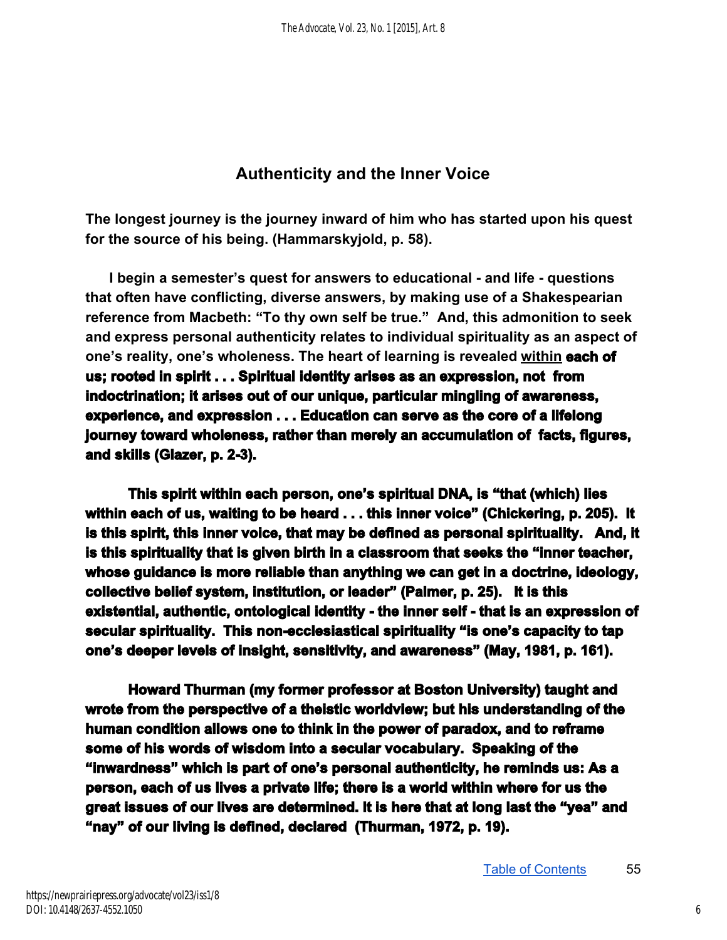## **Authenticity and the Inner Voice**

**The longest journey is the journey inward of him who has started upon his quest**  for the source of his being. (Hammarskyjold, p. 58).

**I** begin a semester's quest for answers to educational - and life - questions **that often have conflicting, diverse answers, by making use of a Shakespearian reference from Macbeth: "To thy own self be true." And, this admonition to seek and express personal authenticity relates to individual spirituality as an aspect of one's reality, one's wholeness. The heart of learning is revealed within each of us; rooted in spirit . . . Spiritual identity arises as an expression, not from indoctrination; it arises out of our unique, particular mingling of awareness, experience, and expression . . . Education can serve as the core of a lifelong journey toward wholeness, rather than merely an accumulation of facts, figures, and skills (Glazer, p. 2-3).** 

**This spirit within each person, one's spiritual DNA, is "that (which) lies within each of us, waiting to be heard . . . this inner voice" (Chickering, p. 205). It is this spirit, this inner voice, that may be defined as personal spirituality. And, it is this spirituality that is given birth in a classroom that seeks the "inner teacher, whose guidance is more reliable than anything we can get in a doctrine, ideology, collective belief system, institution, or leader" (Palmer, p. 25). It is this**  existential, authentic, ontological identity - the inner self - that is an expression of secular spirituality. This non-ecclesiastical spirituality "is one's capacity to tap **one's deeper levels of insight, sensitivity, and awareness" (May, 1981, p. 161).** 

**Howard Thurman (my former professor at Boston University) taught and wrote from the perspective of a theistic worldview; but his understanding of the human condition allows one to think in the power of paradox, and to reframe some of his words of wisdom into a secular vocabulary. Speaking of the "inwardness" which is part of one's personal authenticity, he reminds us: As a person, each of us lives a private life; there is a world within where for us the great issues of our lives are determined. It is here that at long last the "yea" and "nay" of our living is defined, declared (Thurman, 1972, p. 19).**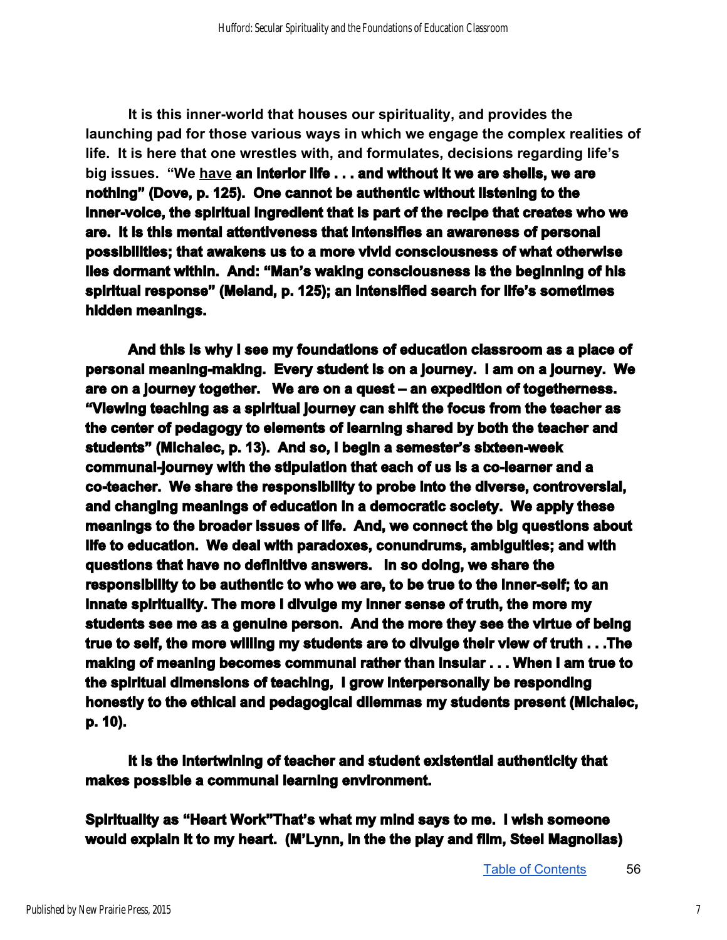**It is this innerworld that houses our spirituality, and provides the launching pad for those various ways in which we engage the complex realities of life. It is here that one wrestles with, and formulates, decisions regarding life's big issues. "We have an interior life . . . and without it we are shells, we are nothing" (Dove, p. 125). One cannot be authentic without listening to the**  inner-voice, the spiritual ingredient that is part of the recipe that creates who we **are. It is this mental attentiveness that intensifies an awareness of personal possibilities; that awakens us to a more vivid consciousness of what otherwise lies dormant within. And: "Man's waking consciousness is the beginning of his spiritual response" (Meland, p. 125); an intensified search for life's sometimes hidden meanings.** 

**And this is why I see my foundations of education classroom as a place of personal meaning-making. Every student is on a journey. I am on a journey. We are on a journey together. We are on a quest – an expedition of togetherness. "Viewing teaching as a spiritual journey can shift the focus from the teacher as the center of pedagogy to elements of learning shared by both the teacher and students" (Michalec, p. 13). And so, I begin a semester's sixteenweek communaljourney with the stipulation that each of us is a colearner and a coteacher. We share the responsibility to probe into the diverse, controversial, and changing meanings of education in a democratic society. We apply these meanings to the broader issues of life. And, we connect the big questions about life to education. We deal with paradoxes, conundrums, ambiguities; and with questions that have no definitive answers. In so doing, we share the responsibility to be authentic to who we are, to be true to the innerself; to an innate spirituality. The more I divulge my inner sense of truth, the more my students see me as a genuine person. And the more they see the virtue of being true to self, the more willing my students are to divulge their view of truth . . .The making of meaning becomes communal rather than insular . . . When I am true to the spiritual dimensions of teaching, I grow interpersonally be responding honestly to the ethical and pedagogical dilemmas my students present (Michalec, p. 10).** 

**It is the intertwining of teacher and student existential authenticity that makes possible a communal learning environment.** 

**Spirituality as "Heart Work"That's what my mind says to me. I wish someone would explain it to my heart. (M'Lynn, in the the play and film, Steel Magnolias)**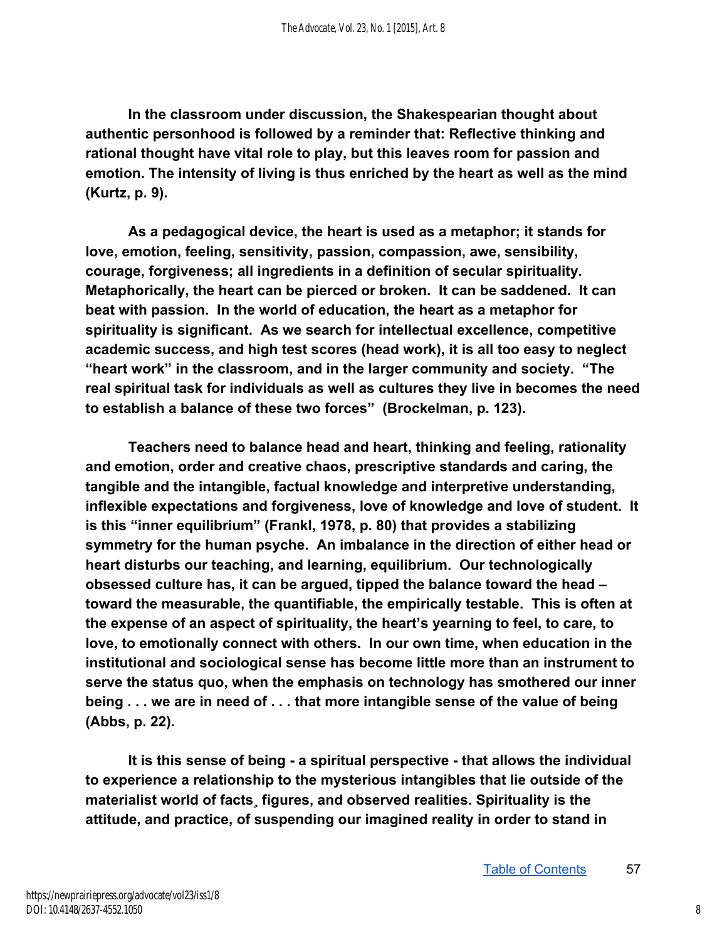**In the classroom under discussion, the Shakespearian thought about authentic personhood is followed by a reminder that: Reflective thinking and rational thought have vital role to play, but this leaves room for passion and emotion. The intensity of living is thus enriched by the heart as well as the mind (Kurtz, p. 9).** 

**As a pedagogical device, the heart is used as a metaphor; it stands for love, emotion, feeling, sensitivity, passion, compassion, awe, sensibility, courage, forgiveness; all ingredients in a definition of secular spirituality. Metaphorically, the heart can be pierced or broken. It can be saddened. It can beat with passion. In the world of education, the heart as a metaphor for spirituality is significant. As we search for intellectual excellence, competitive academic success, and high test scores (head work), it is all too easy to neglect "heart work" in the classroom, and in the larger community and society. "The real spiritual task for individuals as well as cultures they live in becomes the need to establish a balance of these two forces" (Brockelman, p. 123).** 

**Teachers need to balance head and heart, thinking and feeling, rationality and emotion, order and creative chaos, prescriptive standards and caring, the tangible and the intangible, factual knowledge and interpretive understanding, inflexible expectations and forgiveness, love of knowledge and love of student. It is this "inner equilibrium" (Frankl, 1978, p. 80) that provides a stabilizing symmetry for the human psyche. An imbalance in the direction of either head or heart disturbs our teaching, and learning, equilibrium. Our technologically obsessed culture has, it can be argued, tipped the balance toward the head – toward the measurable, the quantifiable, the empirically testable. This is often at the expense of an aspect of spirituality, the heart's yearning to feel, to care, to love, to emotionally connect with others. In our own time, when education in the institutional and sociological sense has become little more than an instrument to serve the status quo, when the emphasis on technology has smothered our inner being . . . we are in need of . . . that more intangible sense of the value of being (Abbs, p. 22).** 

It is this sense of being - a spiritual perspective - that allows the individual **to experience a relationship to the mysterious intangibles that lie outside of the materialist world of facts¸ figures, and observed realities. Spirituality is the attitude, and practice, of suspending our imagined reality in order to stand in**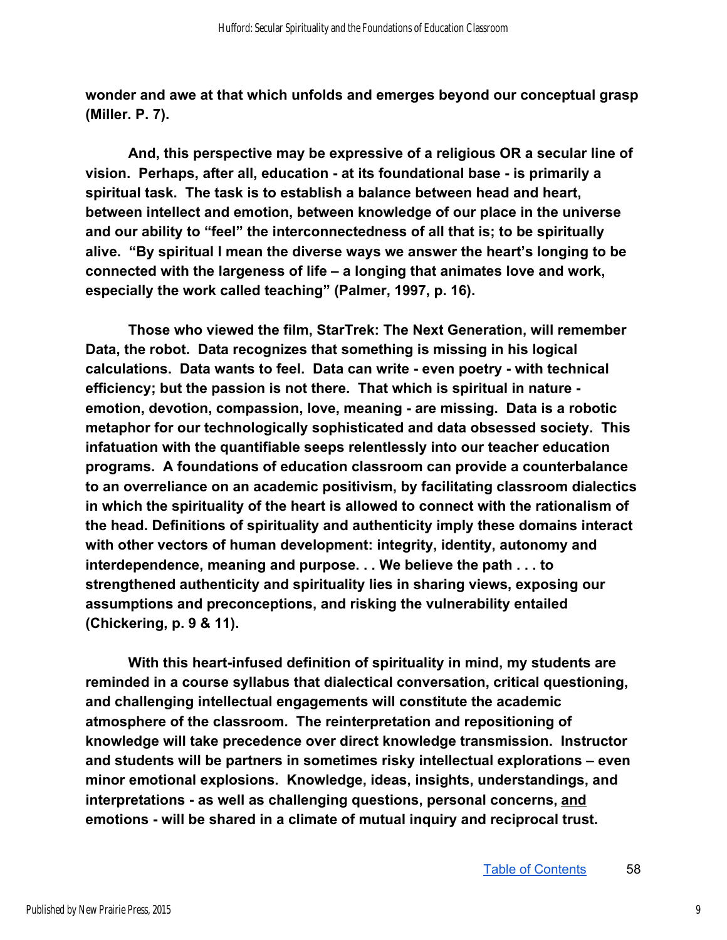**wonder and awe at that which unfolds and emerges beyond our conceptual grasp (Miller. P. 7).** 

**And, this perspective may be expressive of a religious OR a secular line of vision. Perhaps, after all, education at its foundational base is primarily a spiritual task. The task is to establish a balance between head and heart, between intellect and emotion, between knowledge of our place in the universe and our ability to "feel" the interconnectedness of all that is; to be spiritually alive. "By spiritual I mean the diverse ways we answer the heart's longing to be connected with the largeness of life – a longing that animates love and work,**  especially the work called teaching" (Palmer, 1997, p. 16).

**Those who viewed the film, StarTrek: The Next Generation, will remember Data, the robot. Data recognizes that something is missing in his logical**  calculations. Data wants to feel. Data can write - even poetry - with technical **efficiency; but the passion is not there. That which is spiritual in nature**  emotion, devotion, compassion, love, meaning - are missing. Data is a robotic **metaphor for our technologically sophisticated and data obsessed society. This infatuation with the quantifiable seeps relentlessly into our teacher education programs. A foundations of education classroom can provide a counterbalance to an overreliance on an academic positivism, by facilitating classroom dialectics in which the spirituality of the heart is allowed to connect with the rationalism of the head. Definitions of spirituality and authenticity imply these domains interact with other vectors of human development: integrity, identity, autonomy and interdependence, meaning and purpose. . . We believe the path . . . to strengthened authenticity and spirituality lies in sharing views, exposing our assumptions and preconceptions, and risking the vulnerability entailed (Chickering, p. 9 & 11).** 

**With this heartinfused definition of spirituality in mind, my students are reminded in a course syllabus that dialectical conversation, critical questioning, and challenging intellectual engagements will constitute the academic atmosphere of the classroom. The reinterpretation and repositioning of knowledge will take precedence over direct knowledge transmission. Instructor and students will be partners in sometimes risky intellectual explorations – even minor emotional explosions. Knowledge, ideas, insights, understandings, and interpretations as well as challenging questions, personal concerns, and** emotions - will be shared in a climate of mutual inquiry and reciprocal trust.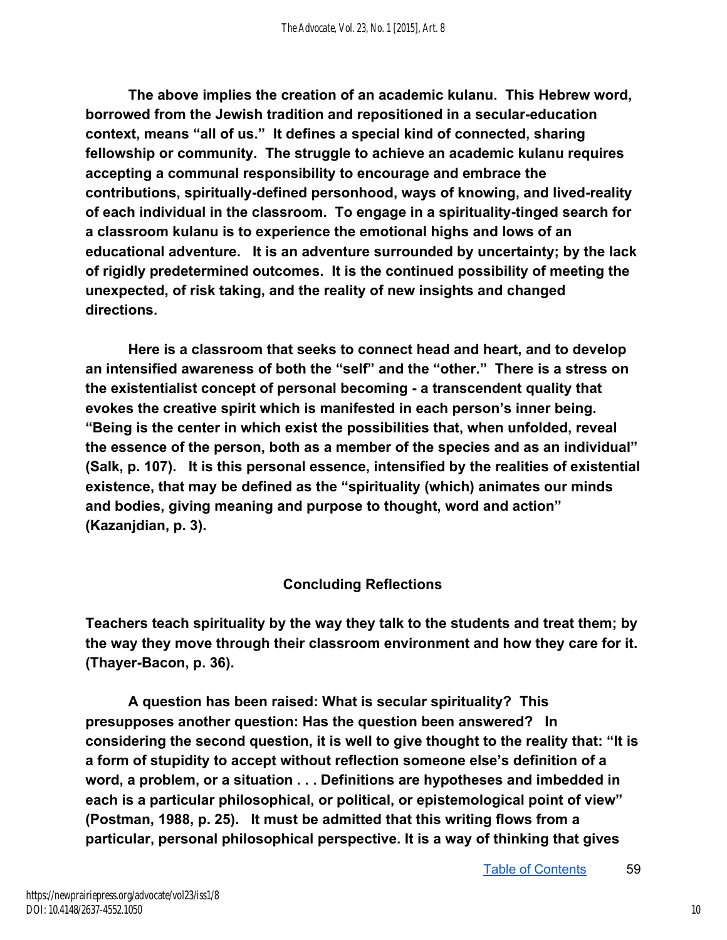**The above implies the creation of an academic kulanu. This Hebrew word, borrowed from the Jewish tradition and repositioned in a seculareducation context, means "all of us." It defines a special kind of connected, sharing fellowship or community. The struggle to achieve an academic kulanu requires accepting a communal responsibility to encourage and embrace the**  contributions, spiritually-defined personhood, ways of knowing, and lived-reality of each individual in the classroom. To engage in a spirituality-tinged search for **a classroom kulanu is to experience the emotional highs and lows of an educational adventure. It is an adventure surrounded by uncertainty; by the lack of rigidly predetermined outcomes. It is the continued possibility of meeting the unexpected, of risk taking, and the reality of new insights and changed directions.** 

**Here is a classroom that seeks to connect head and heart, and to develop an intensified awareness of both the "self" and the "other." There is a stress on the existentialist concept of personal becoming a transcendent quality that evokes the creative spirit which is manifested in each person's inner being. "Being is the center in which exist the possibilities that, when unfolded, reveal the essence of the person, both as a member of the species and as an individual" (Salk, p. 107). It is this personal essence, intensified by the realities of existential existence, that may be defined as the "spirituality (which) animates our minds and bodies, giving meaning and purpose to thought, word and action" (Kazanjdian, p. 3).** 

#### **Concluding Reflections**

**Teachers teach spirituality by the way they talk to the students and treat them; by the way they move through their classroom environment and how they care for it. (Thayer-Bacon, p. 36).** 

**A question has been raised: What is secular spirituality? This presupposes another question: Has the question been answered? In considering the second question, it is well to give thought to the reality that: "It is a form of stupidity to accept without reflection someone else's definition of a word, a problem, or a situation . . . Definitions are hypotheses and imbedded in each is a particular philosophical, or political, or epistemological point of view" (Postman, 1988, p. 25). It must be admitted that this writing flows from a particular, personal philosophical perspective. It is a way of thinking that gives**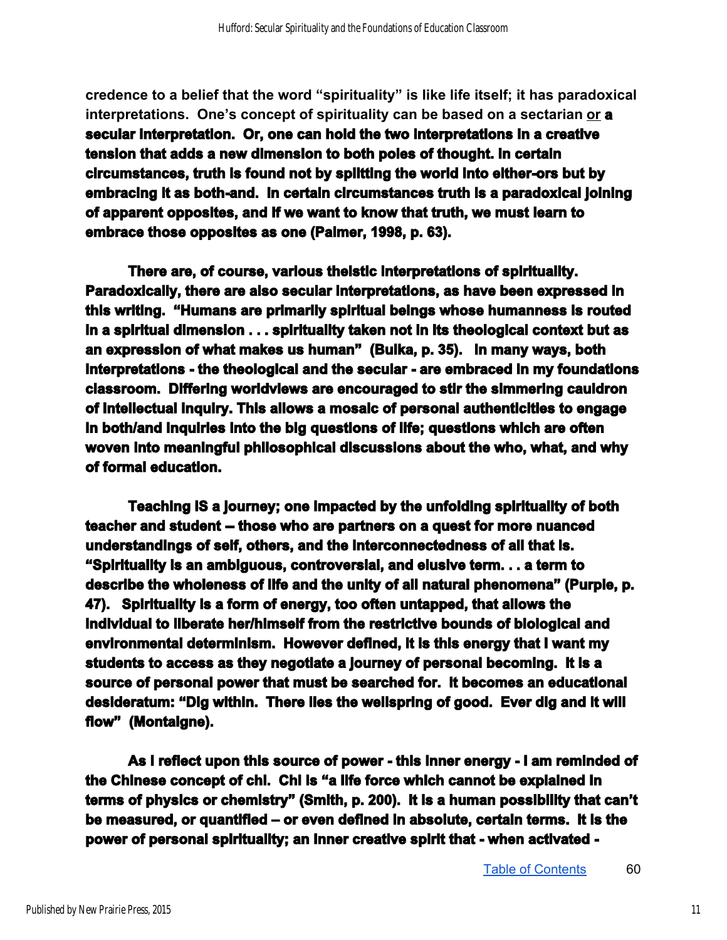**credence to a belief that the word "spirituality" is like life itself; it has paradoxical interpretations. One's concept of spirituality can be based on a sectarian or a secular interpretation. Or, one can hold the two interpretations in a creative tension that adds a new dimension to both poles of thought. In certain**  circumstances, truth is found not by splitting the world into either-ors but by embracing it as both-and. In certain circumstances truth is a paradoxical joining **of apparent opposites, and if we want to know that truth, we must learn to embrace those opposites as one (Palmer, 1998, p. 63).** 

**There are, of course, various theistic interpretations of spirituality. Paradoxically, there are also secular interpretations, as have been expressed in this writing. "Humans are primarily spiritual beings whose humanness is routed in a spiritual dimension . . . spirituality taken not in its theological context but as an expression of what makes us human" (Bulka, p. 35). In many ways, both interpretations - the theological and the secular - are embraced in my foundations classroom. Differing worldviews are encouraged to stir the simmering cauldron of intellectual inquiry. This allows a mosaic of personal authenticities to engage in both/and inquiries into the big questions of life; questions which are often woven into meaningful philosophical discussions about the who, what, and why of formal education.** 

**Teaching IS a journey; one impacted by the unfolding spirituality of both**  teacher and student -- those who are partners on a quest for more nuanced **understandings of self, others, and the interconnectedness of all that is. "Spirituality is an ambiguous, controversial, and elusive term. . . a term to describe the wholeness of life and the unity of all natural phenomena" (Purple, p. 47). Spirituality is a form of energy, too often untapped, that allows the individual to liberate her/himself from the restrictive bounds of biological and environmental determinism. However defined, it is this energy that I want my students to access as they negotiate a journey of personal becoming. It is a source of personal power that must be searched for. It becomes an educational desideratum: "Dig within. There lies the wellspring of good. Ever dig and it will flow" (Montaigne).** 

**As I reflect upon this source of power this inner energy I am reminded of the Chinese concept of chi. Chi is "a life force which cannot be explained in terms of physics or chemistry" (Smith, p. 200). It is a human possibility that can't be measured, or quantified – or even defined in absolute, certain terms. It is the power of personal spirituality; an inner creative spirit that when activated**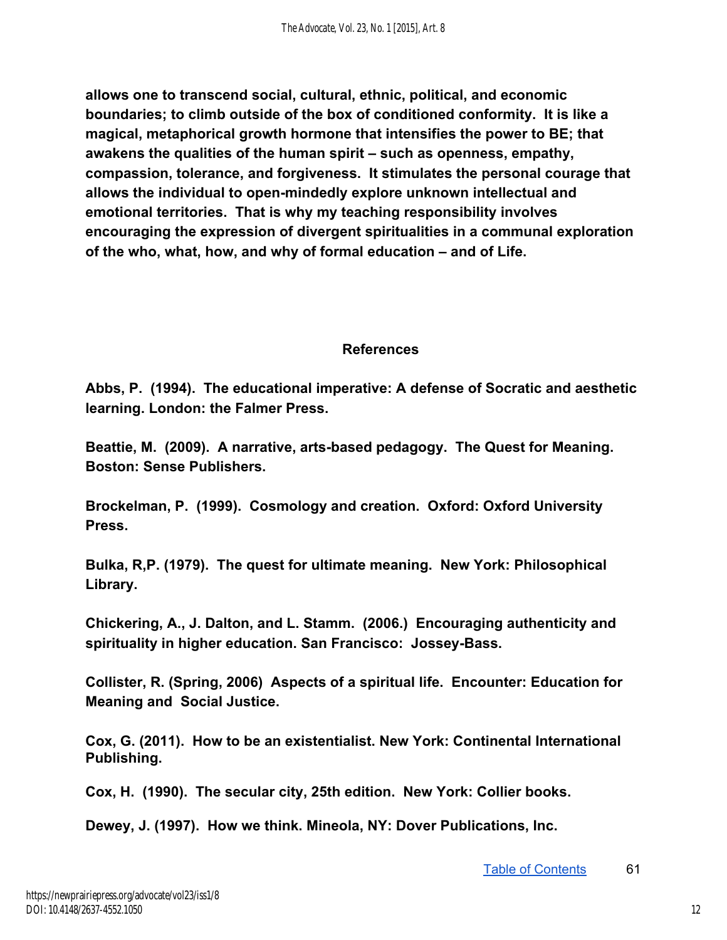**allows one to transcend social, cultural, ethnic, political, and economic boundaries; to climb outside of the box of conditioned conformity. It is like a magical, metaphorical growth hormone that intensifies the power to BE; that awakens the qualities of the human spirit – such as openness, empathy, compassion, tolerance, and forgiveness. It stimulates the personal courage that**  allows the individual to open-mindedly explore unknown intellectual and **emotional territories. That is why my teaching responsibility involves encouraging the expression of divergent spiritualities in a communal exploration of the who, what, how, and why of formal education – and of Life.** 

#### **References**

**Abbs, P. (1994). The educational imperative: A defense of Socratic and aesthetic learning. London: the Falmer Press.** 

Beattie, M. (2009). A narrative, arts-based pedagogy. The Quest for Meaning. **Boston: Sense Publishers.** 

**Brockelman, P. (1999). Cosmology and creation. Oxford: Oxford University**  Press.

**Bulka, R,P. (1979). The quest for ultimate meaning. New York: Philosophical Library.** 

**Chickering, A., J. Dalton, and L. Stamm. (2006.) Encouraging authenticity and**  spirituality in higher education. San Francisco: Jossey-Bass.

**Collister, R. (Spring, 2006) Aspects of a spiritual life. Encounter: Education for Meaning and Social Justice.** 

**Cox, G. (2011). How to be an existentialist. New York: Continental International Publishing.** 

**Cox, H. (1990). The secular city, 25th edition. New York: Collier books.** 

**Dewey, J. (1997). How we think. Mineola, NY: Dover Publications, Inc.**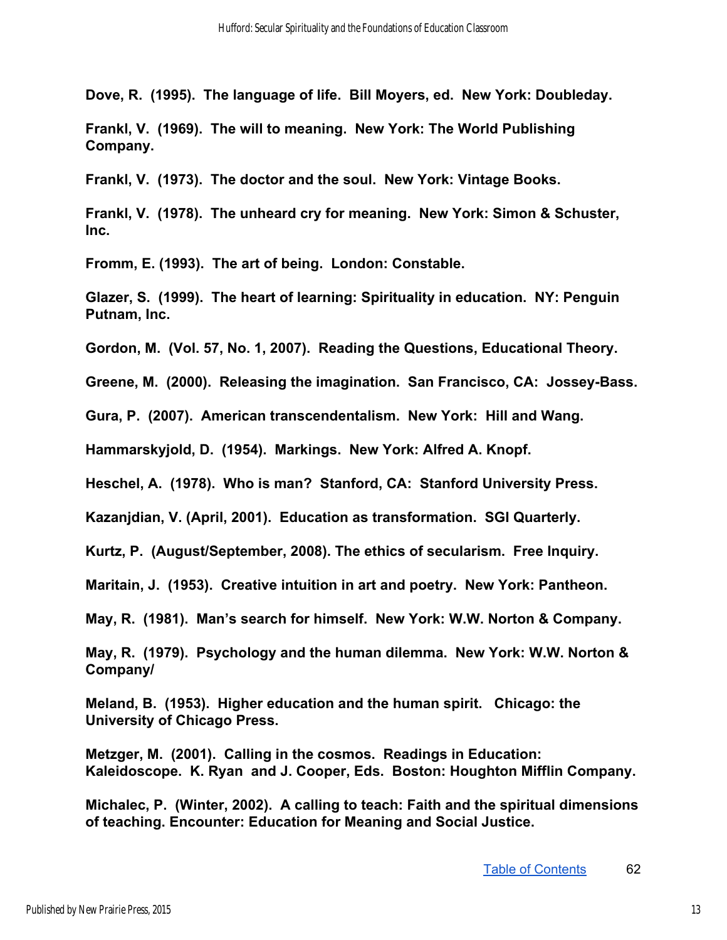**Dove, R. (1995). The language of life. Bill Moyers, ed. New York: Doubleday.** 

**Frankl, V. (1969). The will to meaning. New York: The World Publishing Company.** 

**Frankl, V. (1973). The doctor and the soul. New York: Vintage Books.** 

**Frankl, V. (1978). The unheard cry for meaning. New York: Simon & Schuster, Inc.** 

**Fromm, E. (1993). The art of being. London: Constable.** 

**Glazer, S. (1999). The heart of learning: Spirituality in education. NY: Penguin Putnam, Inc.** 

**Gordon, M. (Vol. 57, No. 1, 2007). Reading the Questions, Educational Theory.** 

Greene, M. (2000). Releasing the imagination. San Francisco, CA: Jossey-Bass.

**Gura, P. (2007). American transcendentalism. New York: Hill and Wang.** 

**Hammarskyjold, D. (1954). Markings. New York: Alfred A. Knopf.** 

**Heschel, A. (1978). Who is man? Stanford, CA: Stanford University Press.** 

**Kazanjdian, V. (April, 2001). Education as transformation. SGI Quarterly.** 

**Kurtz, P. (August/September, 2008). The ethics of secularism. Free Inquiry.** 

**Maritain, J. (1953). Creative intuition in art and poetry. New York: Pantheon.** 

**May, R. (1981). Man's search for himself. New York: W.W. Norton & Company.** 

**May, R. (1979). Psychology and the human dilemma. New York: W.W. Norton & Company/** 

**Meland, B. (1953). Higher education and the human spirit. Chicago: the University of Chicago Press.** 

**Metzger, M. (2001). Calling in the cosmos. Readings in Education: Kaleidoscope. K. Ryan and J. Cooper, Eds. Boston: Houghton Mifflin Company.** 

**Michalec, P. (Winter, 2002). A calling to teach: Faith and the spiritual dimensions of teaching. Encounter: Education for Meaning and Social Justice.**